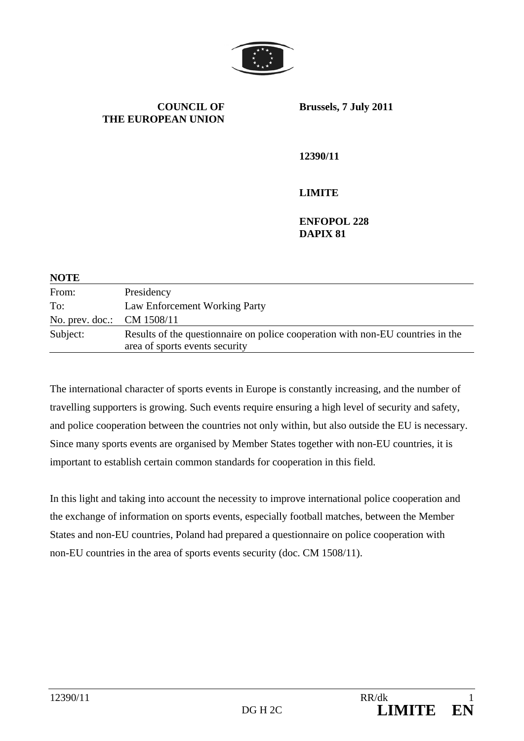

**COUNCIL OF THE EUROPEAN UNION** **Brussels, 7 July 2011** 

**12390/11** 

#### **LIMITE**

**ENFOPOL 228 DAPIX 81** 

| <b>NOTE</b>                |                                                                                                                   |
|----------------------------|-------------------------------------------------------------------------------------------------------------------|
| From:                      | Presidency                                                                                                        |
| To:                        | Law Enforcement Working Party                                                                                     |
| No. prev. doc.: CM 1508/11 |                                                                                                                   |
| Subject:                   | Results of the questionnaire on police cooperation with non-EU countries in the<br>area of sports events security |

The international character of sports events in Europe is constantly increasing, and the number of travelling supporters is growing. Such events require ensuring a high level of security and safety, and police cooperation between the countries not only within, but also outside the EU is necessary. Since many sports events are organised by Member States together with non-EU countries, it is important to establish certain common standards for cooperation in this field.

In this light and taking into account the necessity to improve international police cooperation and the exchange of information on sports events, especially football matches, between the Member States and non-EU countries, Poland had prepared a questionnaire on police cooperation with non-EU countries in the area of sports events security (doc. CM 1508/11).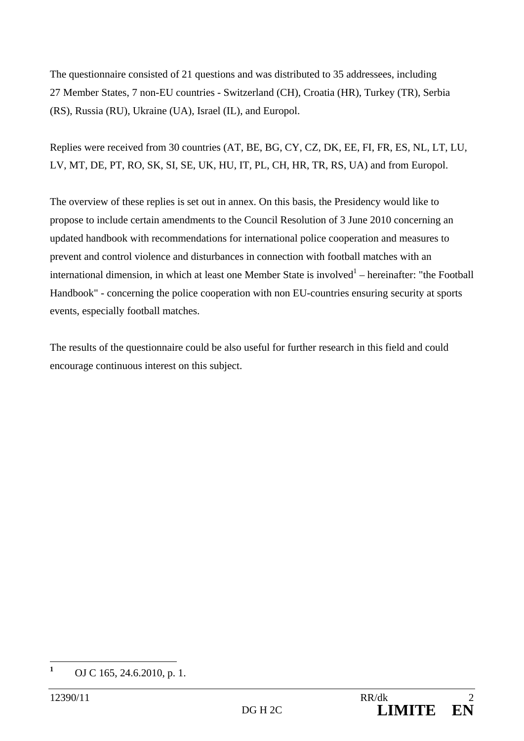The questionnaire consisted of 21 questions and was distributed to 35 addressees, including 27 Member States, 7 non-EU countries - Switzerland (CH), Croatia (HR), Turkey (TR), Serbia (RS), Russia (RU), Ukraine (UA), Israel (IL), and Europol.

Replies were received from 30 countries (AT, BE, BG, CY, CZ, DK, EE, FI, FR, ES, NL, LT, LU, LV, MT, DE, PT, RO, SK, SI, SE, UK, HU, IT, PL, CH, HR, TR, RS, UA) and from Europol.

The overview of these replies is set out in annex. On this basis, the Presidency would like to propose to include certain amendments to the Council Resolution of 3 June 2010 concerning an updated handbook with recommendations for international police cooperation and measures to prevent and control violence and disturbances in connection with football matches with an international dimension, in which at least one Member State is involved<sup>1</sup> – hereinafter: "the Football Handbook" - concerning the police cooperation with non EU-countries ensuring security at sports events, especially football matches.

The results of the questionnaire could be also useful for further research in this field and could encourage continuous interest on this subject.

 **1** OJ C 165, 24.6.2010, p. 1.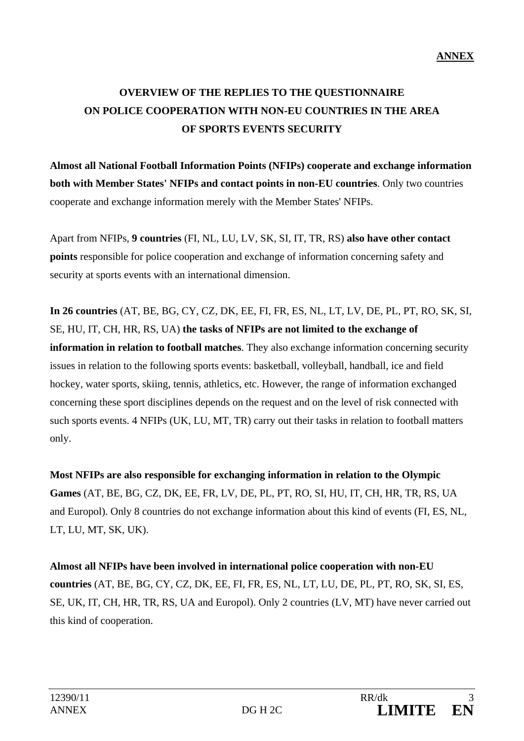# **OVERVIEW OF THE REPLIES TO THE QUESTIONNAIRE ON POLICE COOPERATION WITH NON-EU COUNTRIES IN THE AREA OF SPORTS EVENTS SECURITY**

**Almost all National Football Information Points (NFIPs) cooperate and exchange information both with Member States' NFIPs and contact points in non-EU countries**. Only two countries cooperate and exchange information merely with the Member States' NFIPs.

Apart from NFIPs, **9 countries** (FI, NL, LU, LV, SK, SI, IT, TR, RS) **also have other contact points** responsible for police cooperation and exchange of information concerning safety and security at sports events with an international dimension.

**In 26 countries** (AT, BE, BG, CY, CZ, DK, EE, FI, FR, ES, NL, LT, LV, DE, PL, PT, RO, SK, SI, SE, HU, IT, CH, HR, RS, UA) **the tasks of NFIPs are not limited to the exchange of information in relation to football matches**. They also exchange information concerning security issues in relation to the following sports events: basketball, volleyball, handball, ice and field hockey, water sports, skiing, tennis, athletics, etc. However, the range of information exchanged concerning these sport disciplines depends on the request and on the level of risk connected with such sports events. 4 NFIPs (UK, LU, MT, TR) carry out their tasks in relation to football matters only.

**Most NFIPs are also responsible for exchanging information in relation to the Olympic Games** (AT, BE, BG, CZ, DK, EE, FR, LV, DE, PL, PT, RO, SI, HU, IT, CH, HR, TR, RS, UA and Europol). Only 8 countries do not exchange information about this kind of events (FI, ES, NL, LT, LU, MT, SK, UK).

**Almost all NFIPs have been involved in international police cooperation with non-EU countries** (AT, BE, BG, CY, CZ, DK, EE, FI, FR, ES, NL, LT, LU, DE, PL, PT, RO, SK, SI, ES, SE, UK, IT, CH, HR, TR, RS, UA and Europol). Only 2 countries (LV, MT) have never carried out this kind of cooperation.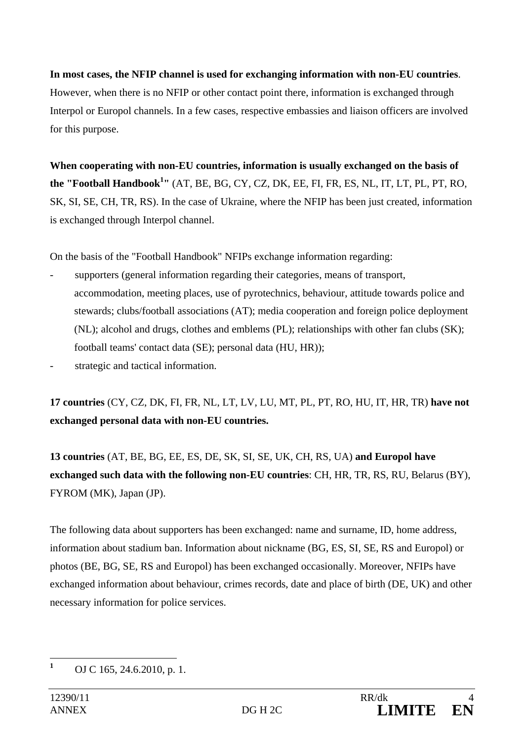**In most cases, the NFIP channel is used for exchanging information with non-EU countries**. However, when there is no NFIP or other contact point there, information is exchanged through Interpol or Europol channels. In a few cases, respective embassies and liaison officers are involved for this purpose.

**When cooperating with non-EU countries, information is usually exchanged on the basis of the "Football Handbook1 "** (AT, BE, BG, CY, CZ, DK, EE, FI, FR, ES, NL, IT, LT, PL, PT, RO, SK, SI, SE, CH, TR, RS). In the case of Ukraine, where the NFIP has been just created, information is exchanged through Interpol channel.

On the basis of the "Football Handbook" NFIPs exchange information regarding:

- supporters (general information regarding their categories, means of transport, accommodation, meeting places, use of pyrotechnics, behaviour, attitude towards police and stewards; clubs/football associations (AT); media cooperation and foreign police deployment (NL); alcohol and drugs, clothes and emblems (PL); relationships with other fan clubs (SK); football teams' contact data (SE); personal data (HU, HR));
- strategic and tactical information.

**17 countries** (CY, CZ, DK, FI, FR, NL, LT, LV, LU, MT, PL, PT, RO, HU, IT, HR, TR) **have not exchanged personal data with non-EU countries.** 

**13 countries** (AT, BE, BG, EE, ES, DE, SK, SI, SE, UK, CH, RS, UA) **and Europol have exchanged such data with the following non-EU countries**: CH, HR, TR, RS, RU, Belarus (BY), FYROM (MK), Japan (JP).

The following data about supporters has been exchanged: name and surname, ID, home address, information about stadium ban. Information about nickname (BG, ES, SI, SE, RS and Europol) or photos (BE, BG, SE, RS and Europol) has been exchanged occasionally. Moreover, NFIPs have exchanged information about behaviour, crimes records, date and place of birth (DE, UK) and other necessary information for police services.

 **1** OJ C 165, 24.6.2010, p. 1.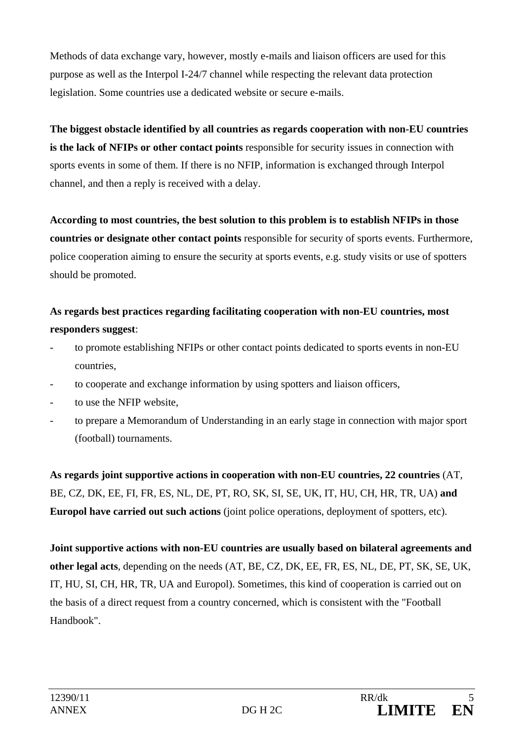Methods of data exchange vary, however, mostly e-mails and liaison officers are used for this purpose as well as the Interpol I-24/7 channel while respecting the relevant data protection legislation. Some countries use a dedicated website or secure e-mails.

**The biggest obstacle identified by all countries as regards cooperation with non-EU countries is the lack of NFIPs or other contact points** responsible for security issues in connection with sports events in some of them. If there is no NFIP, information is exchanged through Interpol channel, and then a reply is received with a delay.

**According to most countries, the best solution to this problem is to establish NFIPs in those countries or designate other contact points** responsible for security of sports events. Furthermore, police cooperation aiming to ensure the security at sports events, e.g. study visits or use of spotters should be promoted.

### **As regards best practices regarding facilitating cooperation with non-EU countries, most responders suggest**:

- to promote establishing NFIPs or other contact points dedicated to sports events in non-EU countries,
- to cooperate and exchange information by using spotters and liaison officers,
- to use the NFIP website,
- to prepare a Memorandum of Understanding in an early stage in connection with major sport (football) tournaments.

**As regards joint supportive actions in cooperation with non-EU countries, 22 countries** (AT, BE, CZ, DK, EE, FI, FR, ES, NL, DE, PT, RO, SK, SI, SE, UK, IT, HU, CH, HR, TR, UA) **and Europol have carried out such actions** (joint police operations, deployment of spotters, etc).

**Joint supportive actions with non-EU countries are usually based on bilateral agreements and other legal acts**, depending on the needs (AT, BE, CZ, DK, EE, FR, ES, NL, DE, PT, SK, SE, UK, IT, HU, SI, CH, HR, TR, UA and Europol). Sometimes, this kind of cooperation is carried out on the basis of a direct request from a country concerned, which is consistent with the "Football Handbook".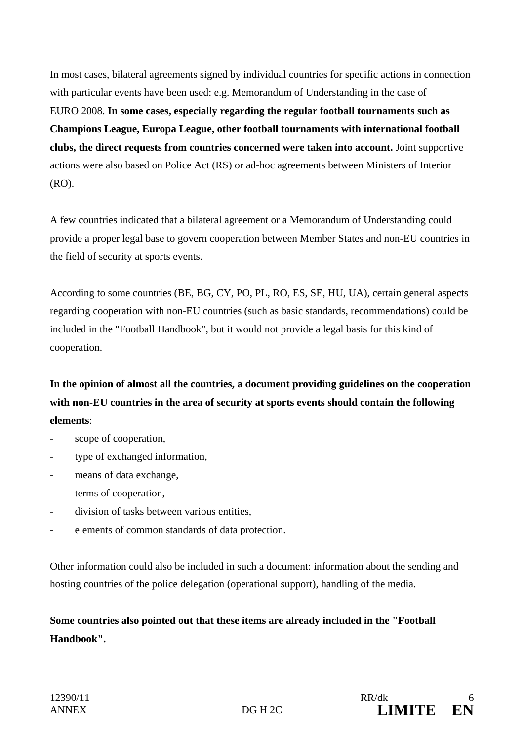In most cases, bilateral agreements signed by individual countries for specific actions in connection with particular events have been used: e.g. Memorandum of Understanding in the case of EURO 2008. **In some cases, especially regarding the regular football tournaments such as Champions League, Europa League, other football tournaments with international football clubs, the direct requests from countries concerned were taken into account.** Joint supportive actions were also based on Police Act (RS) or ad-hoc agreements between Ministers of Interior (RO).

A few countries indicated that a bilateral agreement or a Memorandum of Understanding could provide a proper legal base to govern cooperation between Member States and non-EU countries in the field of security at sports events.

According to some countries (BE, BG, CY, PO, PL, RO, ES, SE, HU, UA), certain general aspects regarding cooperation with non-EU countries (such as basic standards, recommendations) could be included in the "Football Handbook", but it would not provide a legal basis for this kind of cooperation.

**In the opinion of almost all the countries, a document providing guidelines on the cooperation with non-EU countries in the area of security at sports events should contain the following elements**:

- scope of cooperation,
- type of exchanged information,
- means of data exchange,
- terms of cooperation,
- division of tasks between various entities.
- elements of common standards of data protection.

Other information could also be included in such a document: information about the sending and hosting countries of the police delegation (operational support), handling of the media.

## **Some countries also pointed out that these items are already included in the "Football Handbook".**